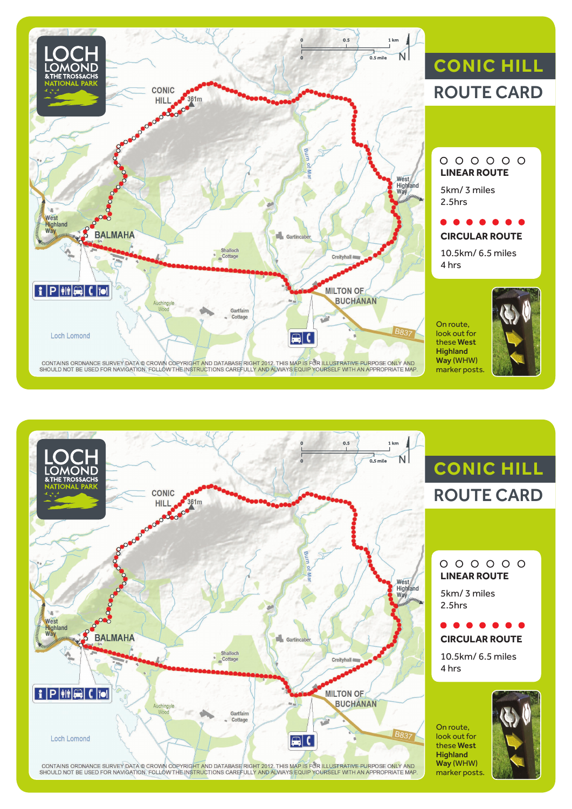

# **CONIC HILL** ROUTE CARD

### $000000$ **LINEAR ROUTE**

5km/ 3 miles 2.5hrs

## **CIRCULAR ROUTE**

10.5km/ 6.5 miles 4 hrs

On route, look out for these West **Highland** Way (WHW) marker posts.